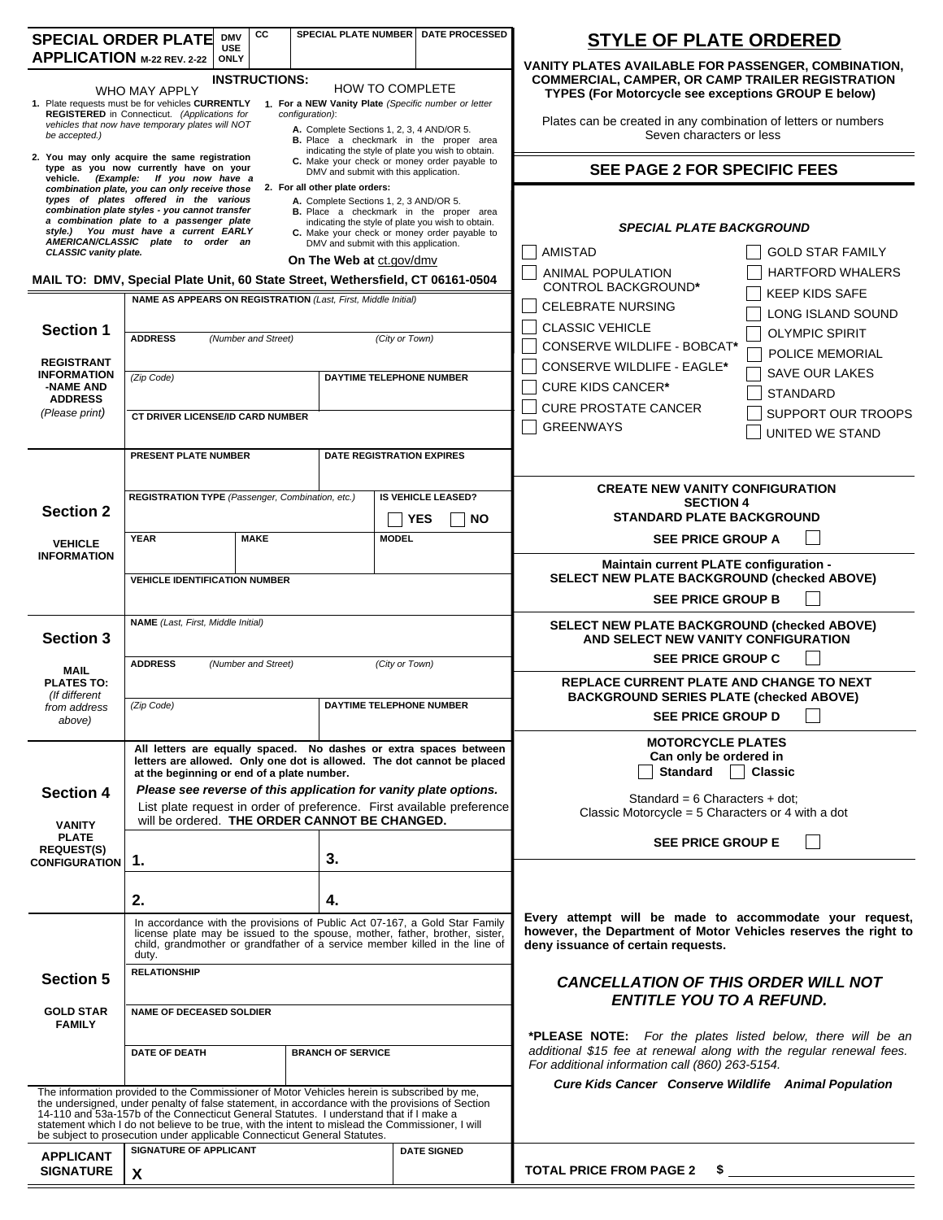| <b>SPECIAL ORDER PLATE</b>                                                                                                                                                                   |                                                                                                                                                                                                                                                                                               | CC<br><b>DMV</b><br><b>USE</b> |                                                                         |                                                                                    | SPECIAL PLATE NUMBER   DATE PROCESSED                                                                                                       | <b>STYLE OF PLATE ORDERED</b>                                                                                                             |  |  |
|----------------------------------------------------------------------------------------------------------------------------------------------------------------------------------------------|-----------------------------------------------------------------------------------------------------------------------------------------------------------------------------------------------------------------------------------------------------------------------------------------------|--------------------------------|-------------------------------------------------------------------------|------------------------------------------------------------------------------------|---------------------------------------------------------------------------------------------------------------------------------------------|-------------------------------------------------------------------------------------------------------------------------------------------|--|--|
| APPLICATION M-22 REV. 2-22                                                                                                                                                                   |                                                                                                                                                                                                                                                                                               | <b>ONLY</b>                    |                                                                         |                                                                                    |                                                                                                                                             | VANITY PLATES AVAILABLE FOR PASSENGER, COMBINATION,                                                                                       |  |  |
| <b>INSTRUCTIONS:</b><br><b>HOW TO COMPLETE</b><br>WHO MAY APPLY<br>1. Plate requests must be for vehicles CURRENTLY<br>1. For a NEW Vanity Plate (Specific number or letter                  |                                                                                                                                                                                                                                                                                               |                                |                                                                         |                                                                                    |                                                                                                                                             | <b>COMMERCIAL, CAMPER, OR CAMP TRAILER REGISTRATION</b><br>TYPES (For Motorcycle see exceptions GROUP E below)                            |  |  |
|                                                                                                                                                                                              | REGISTERED in Connecticut. (Applications for                                                                                                                                                                                                                                                  |                                | configuration):                                                         |                                                                                    |                                                                                                                                             | Plates can be created in any combination of letters or numbers                                                                            |  |  |
| be accepted.)                                                                                                                                                                                | vehicles that now have temporary plates will NOT                                                                                                                                                                                                                                              |                                | A. Complete Sections 1, 2, 3, 4 AND/OR 5.                               |                                                                                    | B. Place a checkmark in the proper area                                                                                                     | Seven characters or less                                                                                                                  |  |  |
| indicating the style of plate you wish to obtain.<br>2. You may only acquire the same registration<br>C. Make your check or money order payable to<br>type as you now currently have on your |                                                                                                                                                                                                                                                                                               |                                |                                                                         |                                                                                    |                                                                                                                                             |                                                                                                                                           |  |  |
|                                                                                                                                                                                              | vehicle. (Example: If you now have a<br>combination plate, you can only receive those                                                                                                                                                                                                         |                                | DMV and submit with this application.<br>2. For all other plate orders: |                                                                                    |                                                                                                                                             | <b>SEE PAGE 2 FOR SPECIFIC FEES</b>                                                                                                       |  |  |
|                                                                                                                                                                                              | types of plates offered in the various<br>combination plate styles - you cannot transfer                                                                                                                                                                                                      |                                | A. Complete Sections 1, 2, 3 AND/OR 5.                                  |                                                                                    | B. Place a checkmark in the proper area                                                                                                     |                                                                                                                                           |  |  |
|                                                                                                                                                                                              | a combination plate to a passenger plate<br>style.) You must have a current EARLY                                                                                                                                                                                                             |                                |                                                                         |                                                                                    | indicating the style of plate you wish to obtain.<br>C. Make your check or money order payable to                                           | <b>SPECIAL PLATE BACKGROUND</b>                                                                                                           |  |  |
| AMERICAN/CLASSIC plate to order an<br>DMV and submit with this application.<br>CLASSIC vanity plate.<br>On The Web at ct.gov/dmv                                                             |                                                                                                                                                                                                                                                                                               |                                |                                                                         |                                                                                    |                                                                                                                                             | <b>AMISTAD</b><br><b>GOLD STAR FAMILY</b>                                                                                                 |  |  |
| MAIL TO: DMV, Special Plate Unit, 60 State Street, Wethersfield, CT 06161-0504                                                                                                               |                                                                                                                                                                                                                                                                                               |                                |                                                                         |                                                                                    |                                                                                                                                             | ANIMAL POPULATION<br><b>HARTFORD WHALERS</b><br>CONTROL BACKGROUND*                                                                       |  |  |
|                                                                                                                                                                                              | NAME AS APPEARS ON REGISTRATION (Last, First, Middle Initial)                                                                                                                                                                                                                                 |                                |                                                                         |                                                                                    |                                                                                                                                             | <b>KEEP KIDS SAFE</b><br><b>CELEBRATE NURSING</b>                                                                                         |  |  |
| <b>Section 1</b>                                                                                                                                                                             |                                                                                                                                                                                                                                                                                               |                                |                                                                         |                                                                                    |                                                                                                                                             | LONG ISLAND SOUND<br><b>CLASSIC VEHICLE</b><br><b>OLYMPIC SPIRIT</b>                                                                      |  |  |
|                                                                                                                                                                                              | <b>ADDRESS</b>                                                                                                                                                                                                                                                                                | (Number and Street)            |                                                                         | (City or Town)                                                                     |                                                                                                                                             | CONSERVE WILDLIFE - BOBCAT*<br>POLICE MEMORIAL                                                                                            |  |  |
| <b>REGISTRANT</b><br><b>INFORMATION</b>                                                                                                                                                      | (Zip Code)<br>DAYTIME TELEPHONE NUMBER                                                                                                                                                                                                                                                        |                                |                                                                         |                                                                                    |                                                                                                                                             | CONSERVE WILDLIFE - EAGLE*<br><b>SAVE OUR LAKES</b>                                                                                       |  |  |
| -NAME AND<br><b>ADDRESS</b>                                                                                                                                                                  |                                                                                                                                                                                                                                                                                               |                                |                                                                         |                                                                                    |                                                                                                                                             | <b>CURE KIDS CANCER*</b><br><b>STANDARD</b><br><b>CURE PROSTATE CANCER</b>                                                                |  |  |
| (Please print)                                                                                                                                                                               | CT DRIVER LICENSE/ID CARD NUMBER                                                                                                                                                                                                                                                              |                                |                                                                         |                                                                                    |                                                                                                                                             | <b>SUPPORT OUR TROOPS</b><br><b>GREENWAYS</b>                                                                                             |  |  |
|                                                                                                                                                                                              |                                                                                                                                                                                                                                                                                               |                                |                                                                         |                                                                                    |                                                                                                                                             | UNITED WE STAND                                                                                                                           |  |  |
|                                                                                                                                                                                              | PRESENT PLATE NUMBER                                                                                                                                                                                                                                                                          |                                |                                                                         |                                                                                    | <b>DATE REGISTRATION EXPIRES</b>                                                                                                            |                                                                                                                                           |  |  |
|                                                                                                                                                                                              | REGISTRATION TYPE (Passenger, Combination, etc.)                                                                                                                                                                                                                                              |                                |                                                                         |                                                                                    | <b>IS VEHICLE LEASED?</b>                                                                                                                   | <b>CREATE NEW VANITY CONFIGURATION</b>                                                                                                    |  |  |
| <b>Section 2</b>                                                                                                                                                                             |                                                                                                                                                                                                                                                                                               |                                |                                                                         |                                                                                    | <b>YES</b><br><b>NO</b>                                                                                                                     | <b>SECTION 4</b><br><b>STANDARD PLATE BACKGROUND</b>                                                                                      |  |  |
| <b>VEHICLE</b>                                                                                                                                                                               | <b>YEAR</b>                                                                                                                                                                                                                                                                                   | <b>MAKE</b>                    |                                                                         | <b>MODEL</b>                                                                       |                                                                                                                                             | <b>SEE PRICE GROUP A</b>                                                                                                                  |  |  |
| <b>INFORMATION</b>                                                                                                                                                                           |                                                                                                                                                                                                                                                                                               |                                |                                                                         |                                                                                    |                                                                                                                                             | Maintain current PLATE configuration -                                                                                                    |  |  |
|                                                                                                                                                                                              | <b>VEHICLE IDENTIFICATION NUMBER</b>                                                                                                                                                                                                                                                          |                                |                                                                         |                                                                                    |                                                                                                                                             | SELECT NEW PLATE BACKGROUND (checked ABOVE)                                                                                               |  |  |
|                                                                                                                                                                                              |                                                                                                                                                                                                                                                                                               |                                |                                                                         |                                                                                    |                                                                                                                                             | <b>SEE PRICE GROUP B</b>                                                                                                                  |  |  |
| <b>Section 3</b>                                                                                                                                                                             | <b>NAME</b> (Last, First, Middle Initial)                                                                                                                                                                                                                                                     |                                |                                                                         | SELECT NEW PLATE BACKGROUND (checked ABOVE)<br>AND SELECT NEW VANITY CONFIGURATION |                                                                                                                                             |                                                                                                                                           |  |  |
|                                                                                                                                                                                              | <b>ADDRESS</b><br>(Number and Street)<br>(City or Town)                                                                                                                                                                                                                                       |                                |                                                                         |                                                                                    |                                                                                                                                             | <b>SEE PRICE GROUP C</b>                                                                                                                  |  |  |
| <b>MAIL</b><br><b>PLATES TO:</b>                                                                                                                                                             |                                                                                                                                                                                                                                                                                               |                                |                                                                         |                                                                                    |                                                                                                                                             | REPLACE CURRENT PLATE AND CHANGE TO NEXT                                                                                                  |  |  |
| (If different<br>from address                                                                                                                                                                | <b>DAYTIME TELEPHONE NUMBER</b><br>(Zip Code)                                                                                                                                                                                                                                                 |                                |                                                                         |                                                                                    |                                                                                                                                             | <b>BACKGROUND SERIES PLATE (checked ABOVE)</b><br>SEE PRICE GROUP D                                                                       |  |  |
| above)                                                                                                                                                                                       |                                                                                                                                                                                                                                                                                               |                                |                                                                         |                                                                                    |                                                                                                                                             |                                                                                                                                           |  |  |
|                                                                                                                                                                                              |                                                                                                                                                                                                                                                                                               |                                |                                                                         |                                                                                    | All letters are equally spaced. No dashes or extra spaces between<br>letters are allowed. Only one dot is allowed. The dot cannot be placed | <b>MOTORCYCLE PLATES</b><br>Can only be ordered in                                                                                        |  |  |
|                                                                                                                                                                                              | at the beginning or end of a plate number.                                                                                                                                                                                                                                                    |                                |                                                                         |                                                                                    | Please see reverse of this application for vanity plate options.                                                                            | <b>Standard</b><br><b>Classic</b>                                                                                                         |  |  |
| <b>Section 4</b><br><b>VANITY</b><br><b>PLATE</b>                                                                                                                                            |                                                                                                                                                                                                                                                                                               |                                |                                                                         |                                                                                    | List plate request in order of preference. First available preference                                                                       | Standard = $6$ Characters + dot;<br>Classic Motorcycle = $5$ Characters or 4 with a dot                                                   |  |  |
|                                                                                                                                                                                              | will be ordered. THE ORDER CANNOT BE CHANGED.                                                                                                                                                                                                                                                 |                                |                                                                         |                                                                                    |                                                                                                                                             |                                                                                                                                           |  |  |
| <b>REQUEST(S)</b><br><b>CONFIGURATION</b>                                                                                                                                                    | 3.<br>1.                                                                                                                                                                                                                                                                                      |                                |                                                                         |                                                                                    |                                                                                                                                             | <b>SEE PRICE GROUP E</b>                                                                                                                  |  |  |
|                                                                                                                                                                                              |                                                                                                                                                                                                                                                                                               |                                |                                                                         |                                                                                    |                                                                                                                                             |                                                                                                                                           |  |  |
|                                                                                                                                                                                              | 2.<br>4.                                                                                                                                                                                                                                                                                      |                                |                                                                         |                                                                                    |                                                                                                                                             |                                                                                                                                           |  |  |
|                                                                                                                                                                                              |                                                                                                                                                                                                                                                                                               |                                |                                                                         |                                                                                    | In accordance with the provisions of Public Act 07-167, a Gold Star Family                                                                  | Every attempt will be made to accommodate your request,<br>however, the Department of Motor Vehicles reserves the right to                |  |  |
|                                                                                                                                                                                              | license plate may be issued to the spouse, mother, father, brother, sister,<br>child, grandmother or grandfather of a service member killed in the line of<br>duty.                                                                                                                           |                                |                                                                         |                                                                                    |                                                                                                                                             | deny issuance of certain requests.                                                                                                        |  |  |
| <b>Section 5</b>                                                                                                                                                                             | <b>RELATIONSHIP</b>                                                                                                                                                                                                                                                                           |                                |                                                                         |                                                                                    |                                                                                                                                             | <b>CANCELLATION OF THIS ORDER WILL NOT</b>                                                                                                |  |  |
|                                                                                                                                                                                              |                                                                                                                                                                                                                                                                                               |                                |                                                                         |                                                                                    |                                                                                                                                             | <b>ENTITLE YOU TO A REFUND.</b>                                                                                                           |  |  |
| <b>GOLD STAR</b><br><b>FAMILY</b>                                                                                                                                                            | <b>NAME OF DECEASED SOLDIER</b>                                                                                                                                                                                                                                                               |                                |                                                                         |                                                                                    |                                                                                                                                             |                                                                                                                                           |  |  |
|                                                                                                                                                                                              | <b>DATE OF DEATH</b><br><b>BRANCH OF SERVICE</b>                                                                                                                                                                                                                                              |                                |                                                                         |                                                                                    |                                                                                                                                             | <b>*PLEASE NOTE:</b> For the plates listed below, there will be an<br>additional \$15 fee at renewal along with the regular renewal fees. |  |  |
|                                                                                                                                                                                              |                                                                                                                                                                                                                                                                                               |                                |                                                                         |                                                                                    |                                                                                                                                             | For additional information call (860) 263-5154.                                                                                           |  |  |
|                                                                                                                                                                                              | The information provided to the Commissioner of Motor Vehicles herein is subscribed by me,                                                                                                                                                                                                    |                                |                                                                         |                                                                                    |                                                                                                                                             | Cure Kids Cancer Conserve Wildlife Animal Population                                                                                      |  |  |
|                                                                                                                                                                                              | the undersigned, under penalty of false statement, in accordance with the provisions of Section<br>14-110 and 53a-157b of the Connecticut General Statutes. I understand that if I make a<br>statement which I do not believe to be true, with the intent to mislead the Commissioner, I will |                                |                                                                         |                                                                                    |                                                                                                                                             |                                                                                                                                           |  |  |
|                                                                                                                                                                                              | be subject to prosecution under applicable Connecticut General Statutes.                                                                                                                                                                                                                      |                                |                                                                         |                                                                                    |                                                                                                                                             |                                                                                                                                           |  |  |
| <b>APPLICANT</b><br><b>SIGNATURE</b>                                                                                                                                                         | SIGNATURE OF APPLICANT                                                                                                                                                                                                                                                                        |                                |                                                                         |                                                                                    | <b>DATE SIGNED</b>                                                                                                                          | TOTAL PRICE FROM PAGE 2 \$                                                                                                                |  |  |
|                                                                                                                                                                                              | $\boldsymbol{\mathsf{x}}$                                                                                                                                                                                                                                                                     |                                |                                                                         |                                                                                    |                                                                                                                                             |                                                                                                                                           |  |  |